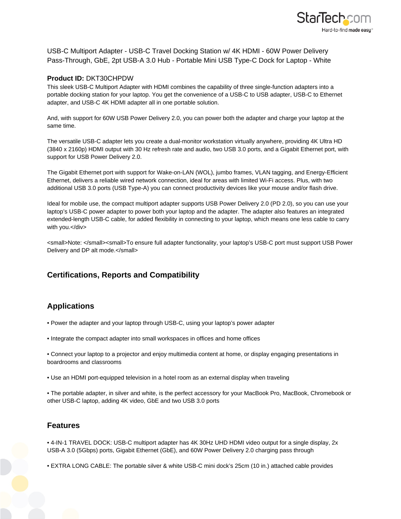

USB-C Multiport Adapter - USB-C Travel Docking Station w/ 4K HDMI - 60W Power Delivery Pass-Through, GbE, 2pt USB-A 3.0 Hub - Portable Mini USB Type-C Dock for Laptop - White

## **Product ID:** DKT30CHPDW

This sleek USB-C Multiport Adapter with HDMI combines the capability of three single-function adapters into a portable docking station for your laptop. You get the convenience of a USB-C to USB adapter, USB-C to Ethernet adapter, and USB-C 4K HDMI adapter all in one portable solution.

And, with support for 60W USB Power Delivery 2.0, you can power both the adapter and charge your laptop at the same time.

The versatile USB-C adapter lets you create a dual-monitor workstation virtually anywhere, providing 4K Ultra HD (3840 x 2160p) HDMI output with 30 Hz refresh rate and audio, two USB 3.0 ports, and a Gigabit Ethernet port, with support for USB Power Delivery 2.0.

The Gigabit Ethernet port with support for Wake-on-LAN (WOL), jumbo frames, VLAN tagging, and Energy-Efficient Ethernet, delivers a reliable wired network connection, ideal for areas with limited Wi-Fi access. Plus, with two additional USB 3.0 ports (USB Type-A) you can connect productivity devices like your mouse and/or flash drive.

Ideal for mobile use, the compact multiport adapter supports USB Power Delivery 2.0 (PD 2.0), so you can use your laptop's USB-C power adapter to power both your laptop and the adapter. The adapter also features an integrated extended-length USB-C cable, for added flexibility in connecting to your laptop, which means one less cable to carry with you.</div>

<small>Note: </small><small>To ensure full adapter functionality, your laptop's USB-C port must support USB Power Delivery and DP alt mode.</small>

## **Certifications, Reports and Compatibility**

## **Applications**

- Power the adapter and your laptop through USB-C, using your laptop's power adapter
- Integrate the compact adapter into small workspaces in offices and home offices
- Connect your laptop to a projector and enjoy multimedia content at home, or display engaging presentations in boardrooms and classrooms
- Use an HDMI port-equipped television in a hotel room as an external display when traveling
- The portable adapter, in silver and white, is the perfect accessory for your MacBook Pro, MacBook, Chromebook or other USB-C laptop, adding 4K video, GbE and two USB 3.0 ports

## **Features**

- 4-IN-1 TRAVEL DOCK: USB-C multiport adapter has 4K 30Hz UHD HDMI video output for a single display, 2x USB-A 3.0 (5Gbps) ports, Gigabit Ethernet (GbE), and 60W Power Delivery 2.0 charging pass through
- EXTRA LONG CABLE: The portable silver & white USB-C mini dock's 25cm (10 in.) attached cable provides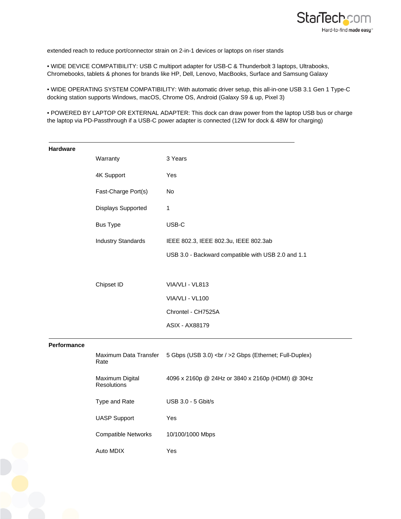

extended reach to reduce port/connector strain on 2-in-1 devices or laptops on riser stands

• WIDE DEVICE COMPATIBILITY: USB C multiport adapter for USB-C & Thunderbolt 3 laptops, Ultrabooks, Chromebooks, tablets & phones for brands like HP, Dell, Lenovo, MacBooks, Surface and Samsung Galaxy

• WIDE OPERATING SYSTEM COMPATIBILITY: With automatic driver setup, this all-in-one USB 3.1 Gen 1 Type-C docking station supports Windows, macOS, Chrome OS, Android (Galaxy S9 & up, Pixel 3)

• POWERED BY LAPTOP OR EXTERNAL ADAPTER: This dock can draw power from the laptop USB bus or charge the laptop via PD-Passthrough if a USB-C power adapter is connected (12W for dock & 48W for charging)

| <b>Hardware</b> |                                |                                                    |
|-----------------|--------------------------------|----------------------------------------------------|
|                 | Warranty                       | 3 Years                                            |
|                 | 4K Support                     | Yes                                                |
|                 | Fast-Charge Port(s)            | No                                                 |
|                 | Displays Supported             | $\mathbf{1}$                                       |
|                 | <b>Bus Type</b>                | USB-C                                              |
|                 | <b>Industry Standards</b>      | IEEE 802.3, IEEE 802.3u, IEEE 802.3ab              |
|                 |                                | USB 3.0 - Backward compatible with USB 2.0 and 1.1 |
|                 |                                |                                                    |
|                 | Chipset ID                     | VIA/VLI - VL813                                    |
|                 |                                | VIA/VLI - VL100                                    |
|                 |                                | Chrontel - CH7525A                                 |
|                 |                                | <b>ASIX - AX88179</b>                              |
| Performance     |                                |                                                    |
|                 | Maximum Data Transfer<br>Rate  | 5 Gbps (USB 3.0)<br>2 Gbps (Ethernet; Full-Duplex) |
|                 | Maximum Digital<br>Resolutions | 4096 x 2160p @ 24Hz or 3840 x 2160p (HDMI) @ 30Hz  |
|                 | Type and Rate                  | USB 3.0 - 5 Gbit/s                                 |
|                 | <b>UASP Support</b>            | Yes                                                |
|                 | <b>Compatible Networks</b>     | 10/100/1000 Mbps                                   |
|                 | Auto MDIX                      | Yes                                                |
|                 |                                |                                                    |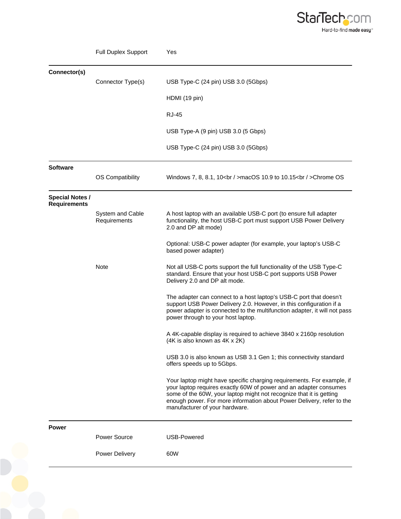

|                                               | <b>Full Duplex Support</b>       | Yes                                                                                                                                                                                                                                                                                                                           |
|-----------------------------------------------|----------------------------------|-------------------------------------------------------------------------------------------------------------------------------------------------------------------------------------------------------------------------------------------------------------------------------------------------------------------------------|
| Connector(s)                                  |                                  |                                                                                                                                                                                                                                                                                                                               |
|                                               | Connector Type(s)                | USB Type-C (24 pin) USB 3.0 (5Gbps)                                                                                                                                                                                                                                                                                           |
|                                               |                                  | HDMI (19 pin)                                                                                                                                                                                                                                                                                                                 |
|                                               |                                  | <b>RJ-45</b>                                                                                                                                                                                                                                                                                                                  |
|                                               |                                  | USB Type-A (9 pin) USB 3.0 (5 Gbps)                                                                                                                                                                                                                                                                                           |
|                                               |                                  | USB Type-C (24 pin) USB 3.0 (5Gbps)                                                                                                                                                                                                                                                                                           |
| <b>Software</b>                               |                                  |                                                                                                                                                                                                                                                                                                                               |
|                                               | OS Compatibility                 | Windows 7, 8, 8.1, 10<br>>macOS 10.9 to 10.15<br>>>>>>Chrome OS                                                                                                                                                                                                                                                               |
| <b>Special Notes /</b><br><b>Requirements</b> |                                  |                                                                                                                                                                                                                                                                                                                               |
|                                               | System and Cable<br>Requirements | A host laptop with an available USB-C port (to ensure full adapter<br>functionality, the host USB-C port must support USB Power Delivery<br>2.0 and DP alt mode)                                                                                                                                                              |
|                                               |                                  | Optional: USB-C power adapter (for example, your laptop's USB-C<br>based power adapter)                                                                                                                                                                                                                                       |
|                                               | <b>Note</b>                      | Not all USB-C ports support the full functionality of the USB Type-C<br>standard. Ensure that your host USB-C port supports USB Power<br>Delivery 2.0 and DP alt mode.                                                                                                                                                        |
|                                               |                                  | The adapter can connect to a host laptop's USB-C port that doesn't<br>support USB Power Delivery 2.0. However, in this configuration if a<br>power adapter is connected to the multifunction adapter, it will not pass<br>power through to your host laptop.                                                                  |
|                                               |                                  | A 4K-capable display is required to achieve 3840 x 2160p resolution<br>(4K is also known as 4K x 2K)                                                                                                                                                                                                                          |
|                                               |                                  | USB 3.0 is also known as USB 3.1 Gen 1; this connectivity standard<br>offers speeds up to 5Gbps.                                                                                                                                                                                                                              |
|                                               |                                  | Your laptop might have specific charging requirements. For example, if<br>your laptop requires exactly 60W of power and an adapter consumes<br>some of the 60W, your laptop might not recognize that it is getting<br>enough power. For more information about Power Delivery, refer to the<br>manufacturer of your hardware. |
| <b>Power</b>                                  | Power Source                     | USB-Powered                                                                                                                                                                                                                                                                                                                   |
|                                               | <b>Power Delivery</b>            | 60W                                                                                                                                                                                                                                                                                                                           |